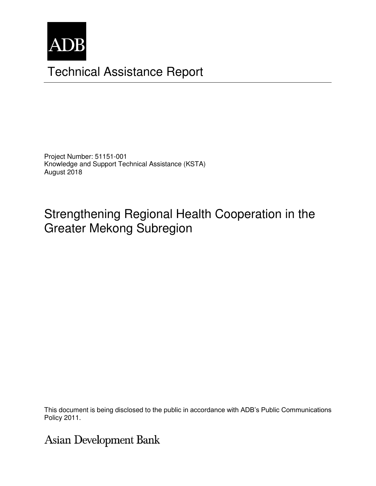

# Technical Assistance Report

Project Number: 51151-001 Knowledge and Support Technical Assistance (KSTA) August 2018

# Strengthening Regional Health Cooperation in the Greater Mekong Subregion

This document is being disclosed to the public in accordance with ADB's Public Communications This document is being disclosed to the public in accordance with ADB's Public Communications<br>Policy 2011 Policy 2011.

# **Asian Development Bank**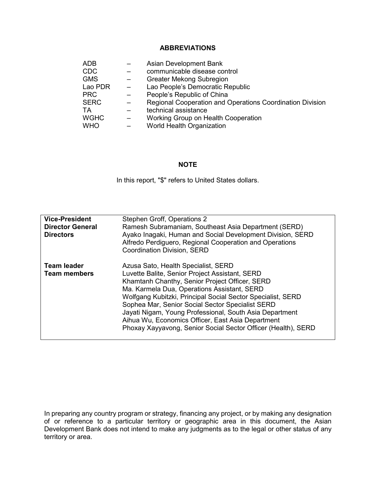#### **ABBREVIATIONS**

| ADB         |   | Asian Development Bank                                    |
|-------------|---|-----------------------------------------------------------|
| CDC         |   | communicable disease control                              |
| <b>GMS</b>  |   | <b>Greater Mekong Subregion</b>                           |
| Lao PDR     |   | Lao People's Democratic Republic                          |
| <b>PRC</b>  |   | People's Republic of China                                |
| <b>SERC</b> | - | Regional Cooperation and Operations Coordination Division |
| ТA          |   | technical assistance                                      |
| <b>WGHC</b> |   | Working Group on Health Cooperation                       |
| <b>WHO</b>  |   | <b>World Health Organization</b>                          |

#### **NOTE**

In this report, "\$" refers to United States dollars.

| <b>Vice-President</b>                       | Stephen Groff, Operations 2                                                                                                                                                                                                                                                                                                                                                                                                                                                                |
|---------------------------------------------|--------------------------------------------------------------------------------------------------------------------------------------------------------------------------------------------------------------------------------------------------------------------------------------------------------------------------------------------------------------------------------------------------------------------------------------------------------------------------------------------|
| <b>Director General</b><br><b>Directors</b> | Ramesh Subramaniam, Southeast Asia Department (SERD)<br>Ayako Inagaki, Human and Social Development Division, SERD<br>Alfredo Perdiguero, Regional Cooperation and Operations<br>Coordination Division, SERD                                                                                                                                                                                                                                                                               |
| <b>Team leader</b><br><b>Team members</b>   | Azusa Sato, Health Specialist, SERD<br>Luvette Balite, Senior Project Assistant, SERD<br>Khamtanh Chanthy, Senior Project Officer, SERD<br>Ma. Karmela Dua, Operations Assistant, SERD<br>Wolfgang Kubitzki, Principal Social Sector Specialist, SERD<br>Sophea Mar, Senior Social Sector Specialist SERD<br>Jayati Nigam, Young Professional, South Asia Department<br>Aihua Wu, Economics Officer, East Asia Department<br>Phoxay Xayyavong, Senior Social Sector Officer (Health), SERD |

In preparing any country program or strategy, financing any project, or by making any designation of or reference to a particular territory or geographic area in this document, the Asian Development Bank does not intend to make any judgments as to the legal or other status of any territory or area.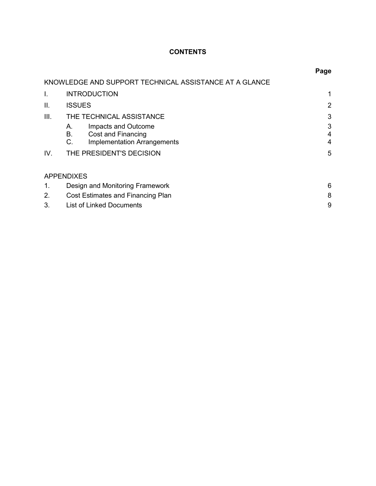## **CONTENTS**

|      |                                                                                                   | Page        |
|------|---------------------------------------------------------------------------------------------------|-------------|
|      | KNOWLEDGE AND SUPPORT TECHNICAL ASSISTANCE AT A GLANCE                                            |             |
| I.   | <b>INTRODUCTION</b>                                                                               |             |
| Ш.   | <b>ISSUES</b>                                                                                     | 2           |
| III. | THE TECHNICAL ASSISTANCE                                                                          | 3           |
|      | Impacts and Outcome<br>А.<br>В.<br>Cost and Financing<br>C.<br><b>Implementation Arrangements</b> | 3<br>4<br>4 |
| IV.  | THE PRESIDENT'S DECISION                                                                          | 5           |
|      | <b>APPENDIXES</b>                                                                                 |             |
| 1.   | Design and Monitoring Framework                                                                   | 6           |
| 2.   | Cost Estimates and Financing Plan                                                                 | 8           |
| 3.   | <b>List of Linked Documents</b>                                                                   | 9           |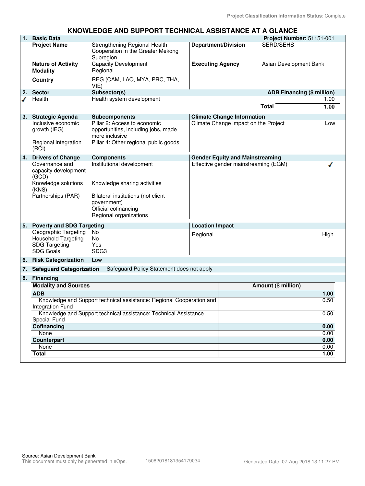#### **KNOWLEDGE AND SUPPORT TECHNICAL ASSISTANCE AT A GLANCE**

| $\overline{1}$ . | <b>Basic Data</b>                                                                                     |                                                                                                                                                                  |                            |                                        | Project Number: 51151-001         |              |
|------------------|-------------------------------------------------------------------------------------------------------|------------------------------------------------------------------------------------------------------------------------------------------------------------------|----------------------------|----------------------------------------|-----------------------------------|--------------|
|                  | <b>Project Name</b>                                                                                   | Strengthening Regional Health<br>Cooperation in the Greater Mekong<br>Subregion                                                                                  | <b>Department/Division</b> |                                        | <b>SERD/SEHS</b>                  |              |
|                  | <b>Nature of Activity</b><br><b>Modality</b>                                                          | <b>Capacity Development</b><br>Regional                                                                                                                          | <b>Executing Agency</b>    |                                        | Asian Development Bank            |              |
|                  | <b>Country</b>                                                                                        | REG (CAM, LAO, MYA, PRC, THA,<br>VIE)                                                                                                                            |                            |                                        |                                   |              |
| 2.               | <b>Sector</b>                                                                                         | Subsector(s)                                                                                                                                                     |                            |                                        | <b>ADB Financing (\$ million)</b> |              |
| ℐ                | Health                                                                                                | Health system development                                                                                                                                        |                            |                                        | <b>Total</b>                      | 1.00<br>1.00 |
| 3.               | <b>Strategic Agenda</b>                                                                               | <b>Subcomponents</b>                                                                                                                                             |                            | <b>Climate Change Information</b>      |                                   |              |
|                  | Inclusive economic<br>growth (IEG)<br>Regional integration<br>(RCI)                                   | Pillar 2: Access to economic<br>opportunities, including jobs, made<br>more inclusive<br>Pillar 4: Other regional public goods                                   |                            | Climate Change impact on the Project   |                                   | Low          |
| 4.               | <b>Drivers of Change</b>                                                                              | <b>Components</b>                                                                                                                                                |                            | <b>Gender Equity and Mainstreaming</b> |                                   |              |
|                  | Governance and<br>capacity development<br>(GCD)<br>Knowledge solutions<br>(KNS)<br>Partnerships (PAR) | Institutional development<br>Knowledge sharing activities<br>Bilateral institutions (not client<br>government)<br>Official cofinancing<br>Regional organizations |                            | Effective gender mainstreaming (EGM)   |                                   | ◢            |
|                  | 5. Poverty and SDG Targeting                                                                          |                                                                                                                                                                  | <b>Location Impact</b>     |                                        |                                   |              |
|                  | Geographic Targeting<br><b>Household Targeting</b><br><b>SDG Targeting</b><br><b>SDG Goals</b>        | No<br>No<br>Yes<br>SDG <sub>3</sub>                                                                                                                              | Regional                   |                                        |                                   | High         |
| 6.               | <b>Risk Categorization</b>                                                                            | Low                                                                                                                                                              |                            |                                        |                                   |              |
| 7.               | <b>Safeguard Categorization</b>                                                                       | Safeguard Policy Statement does not apply                                                                                                                        |                            |                                        |                                   |              |
| 8.               | <b>Financing</b>                                                                                      |                                                                                                                                                                  |                            |                                        |                                   |              |
|                  | <b>Modality and Sources</b>                                                                           |                                                                                                                                                                  |                            |                                        | Amount (\$ million)               |              |
|                  | <b>ADB</b>                                                                                            |                                                                                                                                                                  |                            |                                        |                                   | 1.00         |
|                  |                                                                                                       | Knowledge and Support technical assistance: Regional Cooperation and                                                                                             |                            |                                        |                                   | 0.50         |
|                  | <b>Integration Fund</b>                                                                               |                                                                                                                                                                  |                            |                                        |                                   |              |
|                  |                                                                                                       | Knowledge and Support technical assistance: Technical Assistance                                                                                                 |                            |                                        |                                   | 0.50         |
|                  | Special Fund                                                                                          |                                                                                                                                                                  |                            |                                        |                                   |              |
|                  | Cofinancing                                                                                           |                                                                                                                                                                  |                            |                                        |                                   | 0.00         |
|                  | None                                                                                                  |                                                                                                                                                                  |                            |                                        |                                   | 0.00         |
|                  | Counterpart<br>None                                                                                   |                                                                                                                                                                  |                            |                                        |                                   | 0.00<br>0.00 |
|                  | <b>Total</b>                                                                                          |                                                                                                                                                                  |                            |                                        |                                   | 1.00         |
|                  |                                                                                                       |                                                                                                                                                                  |                            |                                        |                                   |              |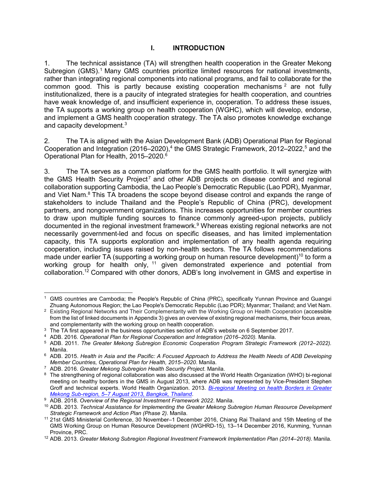#### **I. INTRODUCTION**

1. The technical assistance (TA) will strengthen health cooperation in the Greater Mekong Subregion (GMS).<sup>1</sup> Many GMS countries prioritize limited resources for national investments, rather than integrating regional components into national programs, and fail to collaborate for the common good. This is partly because existing cooperation mechanisms  $2$  are not fully institutionalized, there is a paucity of integrated strategies for health cooperation, and countries have weak knowledge of, and insufficient experience in, cooperation. To address these issues, the TA supports a working group on health cooperation (WGHC), which will develop, endorse, and implement a GMS health cooperation strategy. The TA also promotes knowledge exchange and capacity development.<sup>3</sup>

2. The TA is aligned with the Asian Development Bank (ADB) Operational Plan for Regional Cooperation and Integration (2016–2020),<sup>4</sup> the GMS Strategic Framework, 2012–2022,<sup>5</sup> and the Operational Plan for Health, 2015–2020.<sup>6</sup>

3. The TA serves as a common platform for the GMS health portfolio. It will synergize with the GMS Health Security Project<sup>7</sup> and other ADB projects on disease control and regional collaboration supporting Cambodia, the Lao People's Democratic Republic (Lao PDR), Myanmar, and Viet Nam.<sup>8</sup> This TA broadens the scope beyond disease control and expands the range of stakeholders to include Thailand and the People's Republic of China (PRC), development partners, and nongovernment organizations. This increases opportunities for member countries to draw upon multiple funding sources to finance commonly agreed-upon projects, publicly documented in the regional investment framework.<sup>9</sup> Whereas existing regional networks are not necessarily government-led and focus on specific diseases, and has limited implementation capacity, this TA supports exploration and implementation of any health agenda requiring cooperation, including issues raised by non-health sectors. The TA follows recommendations made under earlier TA (supporting a working group on human resource development)<sup>10</sup> to form a working group for health only,  $11$  given demonstrated experience and potential from collaboration.<sup>12</sup> Compared with other donors, ADB's long involvement in GMS and expertise in

 $\overline{a}$ 1 GMS countries are Cambodia; the People's Republic of China (PRC), specifically Yunnan Province and Guangxi Zhuang Autonomous Region; the Lao People's Democratic Republic (Lao PDR); Myanmar; Thailand; and Viet Nam.

<sup>&</sup>lt;sup>2</sup> Existing Regional Networks and Their Complementarity with the Working Group on Health Cooperation (accessible from the list of linked documents in Appendix 3) gives an overview of existing regional mechanisms, their focus areas, and complementarity with the working group on health cooperation.

<sup>&</sup>lt;sup>3</sup> The TA first appeared in the business opportunities section of ADB's website on 6 September 2017.

<sup>4</sup> ADB. 2016*. Operational Plan for Regional Cooperation and Integration (2016–2020).* Manila.

<sup>5</sup> ADB. 2011. *The Greater Mekong Subregion Economic Cooperation Program Strategic Framework (2012–2022).* Manila.

 $^6\,$  ADB. 2015. Health in Asia and the Pacific: A Focused Approach to Address the Health Needs of ADB Developing *Member Countries, Operational Plan for Health, 2015–2020*. Manila.

<sup>7</sup> ADB. 2016. *Greater Mekong Subregion Health Security Project.* Manila.

<sup>&</sup>lt;sup>8</sup> The strengthening of regional collaboration was also discussed at the World Health Organization (WHO) bi-regional meeting on healthy borders in the GMS in August 2013, where ADB was represented by Vice-President Stephen Groff and technical experts. World Health Organization. 2013. *Bi-regional Meeting on health Borders in Greater Mekong Sub-region, 5–7 August 2013, Bangkok, Thailand*.

<sup>9</sup> ADB. 2018. *Overview of the Regional Investment Framework 2022*. Manila.

<sup>10</sup> ADB. 2013. *Technical Assistance for Implementing the Greater Mekong Subregion Human Resource Development Strategic Framework and Action Plan (Phase 2)*. Manila.

<sup>11</sup> 21st GMS Ministerial Conference, 30 November–1 December 2016, Chiang Rai Thailand and 15th Meeting of the GMS Working Group on Human Resource Development (WGHRD-15), 13–14 December 2016, Kunming, Yunnan Province, PRC.

<sup>12</sup> ADB. 2013. *Greater Mekong Subregion Regional Investment Framework Implementation Plan (2014–2018).* Manila.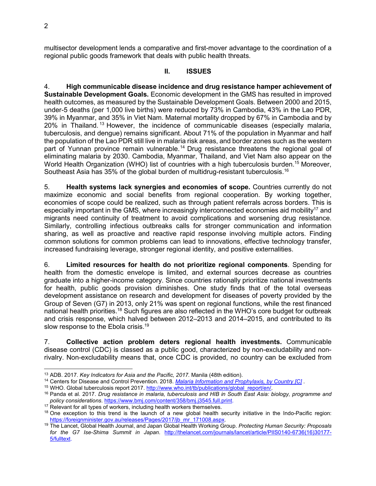multisector development lends a comparative and first-mover advantage to the coordination of a regional public goods framework that deals with public health threats.

#### **II. ISSUES**

4. **High communicable disease incidence and drug resistance hamper achievement of Sustainable Development Goals.** Economic development in the GMS has resulted in improved health outcomes, as measured by the Sustainable Development Goals. Between 2000 and 2015, under-5 deaths (per 1,000 live births) were reduced by 73% in Cambodia, 43% in the Lao PDR, 39% in Myanmar, and 35% in Viet Nam. Maternal mortality dropped by 67% in Cambodia and by  $20\%$  in Thailand.<sup>13</sup> However, the incidence of communicable diseases (especially malaria, tuberculosis, and dengue) remains significant. About 71% of the population in Myanmar and half the population of the Lao PDR still live in malaria risk areas, and border zones such as the western part of Yunnan province remain vulnerable.<sup>14</sup> Drug resistance threatens the regional goal of eliminating malaria by 2030. Cambodia, Myanmar, Thailand, and Viet Nam also appear on the World Health Organization (WHO) list of countries with a high tuberculosis burden.<sup>15</sup> Moreover, Southeast Asia has 35% of the global burden of multidrug-resistant tuberculosis.<sup>16</sup>

5. **Health systems lack synergies and economies of scope.** Countries currently do not maximize economic and social benefits from regional cooperation. By working together, economies of scope could be realized, such as through patient referrals across borders. This is especially important in the GMS, where increasingly interconnected economies aid mobility<sup>17</sup> and migrants need continuity of treatment to avoid complications and worsening drug resistance. Similarly, controlling infectious outbreaks calls for stronger communication and information sharing, as well as proactive and reactive rapid response involving multiple actors. Finding common solutions for common problems can lead to innovations, effective technology transfer, increased fundraising leverage, stronger regional identity, and positive externalities.

6. **Limited resources for health do not prioritize regional components**. Spending for health from the domestic envelope is limited, and external sources decrease as countries graduate into a higher-income category. Since countries rationally prioritize national investments for health, public goods provision diminishes. One study finds that of the total overseas development assistance on research and development for diseases of poverty provided by the Group of Seven (G7) in 2013, only 21% was spent on regional functions, while the rest financed national health priorities.<sup>18</sup> Such figures are also reflected in the WHO's core budget for outbreak and crisis response, which halved between 2012–2013 and 2014–2015, and contributed to its slow response to the Ebola crisis.<sup>19</sup>

7. **Collective action problem deters regional health investments.** Communicable disease control (CDC) is classed as a public good, characterized by non-excludability and nonrivalry. Non-excludability means that, once CDC is provided, no country can be excluded from

 $\overline{a}$ <sup>13</sup> ADB. 2017. *Key Indicators for Asia and the Pacific, 2017.* Manila (48th edition).

<sup>14</sup> Centers for Disease and Control Prevention. 2018. *Malaria Information and Prophylaxis, by Country [C]* .

<sup>&</sup>lt;sup>15</sup> WHO. Global tuberculosis report 2017. http://www.who.int/tb/publications/global\_report/en/.

<sup>16</sup> Panda et al. 2017. *Drug resistance in malaria, tuberculosis and HIB in South East Asia: biology, programme and policy considerations*. https://www.bmj.com/content/358/bmj.j3545.full.print.

<sup>&</sup>lt;sup>17</sup> Relevant for all types of workers, including health workers themselves.

 $18$  One exception to this trend is the launch of a new global health security initiative in the Indo-Pacific region: https://foreignminister.gov.au/releases/Pages/2017/jb\_mr\_171008.aspx.

<sup>19</sup> The Lancet, Global Health Journal, and Japan Global Health Working Group. *Protecting Human Security: Proposals for the G7 Ise-Shima Summit in Japan*. http://thelancet.com/journals/lancet/article/PIIS0140-6736(16)30177- 5/fulltext.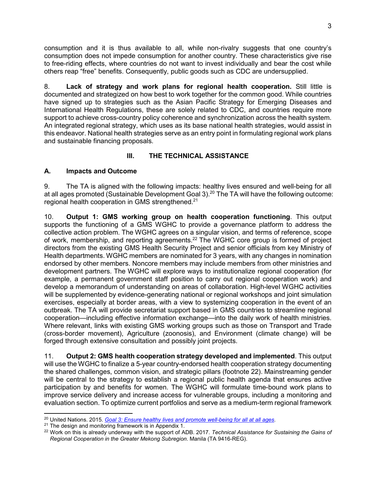consumption and it is thus available to all, while non-rivalry suggests that one country's consumption does not impede consumption for another country. These characteristics give rise to free-riding effects, where countries do not want to invest individually and bear the cost while others reap "free" benefits. Consequently, public goods such as CDC are undersupplied.

8. **Lack of strategy and work plans for regional health cooperation.** Still little is documented and strategized on how best to work together for the common good. While countries have signed up to strategies such as the Asian Pacific Strategy for Emerging Diseases and International Health Regulations, these are solely related to CDC, and countries require more support to achieve cross-country policy coherence and synchronization across the health system. An integrated regional strategy, which uses as its base national health strategies, would assist in this endeavor. National health strategies serve as an entry point in formulating regional work plans and sustainable financing proposals.

### **III. THE TECHNICAL ASSISTANCE**

### **A. Impacts and Outcome**

9. The TA is aligned with the following impacts: healthy lives ensured and well-being for all at all ages promoted (Sustainable Development Goal 3).<sup>20</sup> The TA will have the following outcome: regional health cooperation in GMS strengthened.<sup>21</sup>

10. **Output 1: GMS working group on health cooperation functioning**. This output supports the functioning of a GMS WGHC to provide a governance platform to address the collective action problem. The WGHC agrees on a singular vision, and terms of reference, scope of work, membership, and reporting agreements.<sup>22</sup> The WGHC core group is formed of project directors from the existing GMS Health Security Project and senior officials from key Ministry of Health departments. WGHC members are nominated for 3 years, with any changes in nomination endorsed by other members. Noncore members may include members from other ministries and development partners. The WGHC will explore ways to institutionalize regional cooperation (for example, a permanent government staff position to carry out regional cooperation work) and develop a memorandum of understanding on areas of collaboration. High-level WGHC activities will be supplemented by evidence-generating national or regional workshops and joint simulation exercises, especially at border areas, with a view to systemizing cooperation in the event of an outbreak. The TA will provide secretariat support based in GMS countries to streamline regional cooperation—including effective information exchange—into the daily work of health ministries. Where relevant, links with existing GMS working groups such as those on Transport and Trade (cross-border movement), Agriculture (zoonosis), and Environment (climate change) will be forged through extensive consultation and possibly joint projects.

11. **Output 2: GMS health cooperation strategy developed and implemented**. This output will use the WGHC to finalize a 5-year country-endorsed health cooperation strategy documenting the shared challenges, common vision, and strategic pillars (footnote 22). Mainstreaming gender will be central to the strategy to establish a regional public health agenda that ensures active participation by and benefits for women. The WGHC will formulate time-bound work plans to improve service delivery and increase access for vulnerable groups, including a monitoring and evaluation section. To optimize current portfolios and serve as a medium-term regional framework

 <sup>20</sup> United Nations. 2015. *Goal 3: Ensure healthy lives and promote well-being for all at all ages*.

 $21$  The design and monitoring framework is in Appendix 1.

<sup>22</sup> Work on this is already underway with the support of ADB. 2017. *Technical Assistance for Sustaining the Gains of Regional Cooperation in the Greater Mekong Subregion*. Manila (TA 9416-REG).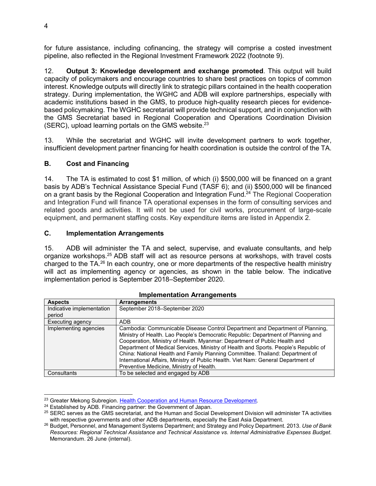for future assistance, including cofinancing, the strategy will comprise a costed investment pipeline, also reflected in the Regional Investment Framework 2022 (footnote 9).

12. **Output 3: Knowledge development and exchange promoted**. This output will build capacity of policymakers and encourage countries to share best practices on topics of common interest. Knowledge outputs will directly link to strategic pillars contained in the health cooperation strategy. During implementation, the WGHC and ADB will explore partnerships, especially with academic institutions based in the GMS, to produce high-quality research pieces for evidencebased policymaking. The WGHC secretariat will provide technical support, and in conjunction with the GMS Secretariat based in Regional Cooperation and Operations Coordination Division (SERC), upload learning portals on the GMS website.<sup>23</sup>

13. While the secretariat and WGHC will invite development partners to work together, insufficient development partner financing for health coordination is outside the control of the TA.

#### **B. Cost and Financing**

14. The TA is estimated to cost \$1 million, of which (i) \$500,000 will be financed on a grant basis by ADB's Technical Assistance Special Fund (TASF 6); and (ii) \$500,000 will be financed on a grant basis by the Regional Cooperation and Integration Fund.<sup>24</sup> The Regional Cooperation and Integration Fund will finance TA operational expenses in the form of consulting services and related goods and activities. It will not be used for civil works, procurement of large-scale equipment, and permanent staffing costs. Key expenditure items are listed in Appendix 2.

#### **C. Implementation Arrangements**

15. ADB will administer the TA and select, supervise, and evaluate consultants, and help organize workshops.<sup>25</sup> ADB staff will act as resource persons at workshops, with travel costs charged to the TA.<sup>26</sup> In each country, one or more departments of the respective health ministry will act as implementing agency or agencies, as shown in the table below. The indicative implementation period is September 2018–September 2020.

| <b>Aspects</b>            | <b>Arrangements</b>                                                                                                                                                                                                                                                                                                                                                                                                                                                                                                                                     |
|---------------------------|---------------------------------------------------------------------------------------------------------------------------------------------------------------------------------------------------------------------------------------------------------------------------------------------------------------------------------------------------------------------------------------------------------------------------------------------------------------------------------------------------------------------------------------------------------|
| Indicative implementation | September 2018–September 2020                                                                                                                                                                                                                                                                                                                                                                                                                                                                                                                           |
| period                    |                                                                                                                                                                                                                                                                                                                                                                                                                                                                                                                                                         |
| Executing agency          | <b>ADB</b>                                                                                                                                                                                                                                                                                                                                                                                                                                                                                                                                              |
| Implementing agencies     | Cambodia: Communicable Disease Control Department and Department of Planning,<br>Ministry of Health. Lao People's Democratic Republic: Department of Planning and<br>Cooperation, Ministry of Health. Myanmar: Department of Public Health and<br>Department of Medical Services, Ministry of Health and Sports. People's Republic of<br>China: National Health and Family Planning Committee. Thailand: Department of<br>International Affairs, Ministry of Public Health. Viet Nam: General Department of<br>Preventive Medicine, Ministry of Health. |
| Consultants               | To be selected and engaged by ADB                                                                                                                                                                                                                                                                                                                                                                                                                                                                                                                       |

#### **Implementation Arrangements**

<sup>23</sup> Greater Mekong Subregion. Health Cooperation and Human Resource Development*.*

<sup>&</sup>lt;sup>24</sup> Established by ADB. Financing partner: the Government of Japan.

<sup>25</sup> SERC serves as the GMS secretariat, and the Human and Social Development Division will administer TA activities with respective governments and other ADB departments, especially the East Asia Department.

<sup>26</sup> Budget, Personnel, and Management Systems Department; and Strategy and Policy Department. 2013. *Use of Bank Resources: Regional Technical Assistance and Technical Assistance vs. Internal Administrative Expenses Budget*. Memorandum. 26 June (internal).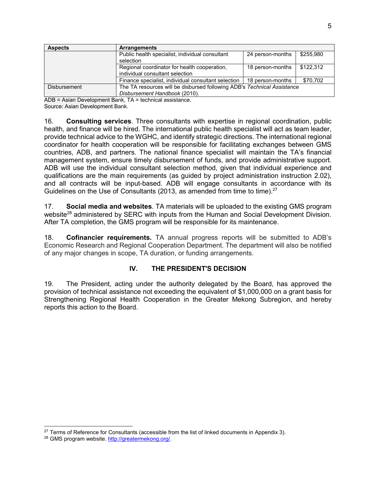| <b>Aspects</b>      | <b>Arrangements</b>                                                     |                  |           |
|---------------------|-------------------------------------------------------------------------|------------------|-----------|
|                     | Public health specialist, individual consultant                         | 24 person-months | \$255,980 |
|                     | selection                                                               |                  |           |
|                     | Regional coordinator for health cooperation,<br>18 person-months        |                  |           |
|                     | individual consultant selection                                         |                  |           |
|                     | Finance specialist, individual consultant selection                     | 18 person-months | \$70,702  |
| <b>Disbursement</b> | The TA resources will be disbursed following ADB's Technical Assistance |                  |           |
|                     | Disbursement Handbook (2010).                                           |                  |           |

ADB = Asian Development Bank, TA = technical assistance.

Source: Asian Development Bank.

16. **Consulting services**. Three consultants with expertise in regional coordination, public health, and finance will be hired. The international public health specialist will act as team leader, provide technical advice to the WGHC, and identify strategic directions. The international regional coordinator for health cooperation will be responsible for facilitating exchanges between GMS countries, ADB, and partners. The national finance specialist will maintain the TA's financial management system, ensure timely disbursement of funds, and provide administrative support. ADB will use the individual consultant selection method, given that individual experience and qualifications are the main requirements (as guided by project administration instruction 2.02), and all contracts will be input-based. ADB will engage consultants in accordance with its Guidelines on the Use of Consultants (2013, as amended from time to time).<sup>27</sup>

17. **Social media and websites**. TA materials will be uploaded to the existing GMS program website<sup>28</sup> administered by SERC with inputs from the Human and Social Development Division. After TA completion, the GMS program will be responsible for its maintenance.

18. **Cofinancier requirements.** TA annual progress reports will be submitted to ADB's Economic Research and Regional Cooperation Department. The department will also be notified of any major changes in scope, TA duration, or funding arrangements.

#### **IV. THE PRESIDENT'S DECISION**

19. The President, acting under the authority delegated by the Board, has approved the provision of technical assistance not exceeding the equivalent of \$1,000,000 on a grant basis for Strengthening Regional Health Cooperation in the Greater Mekong Subregion, and hereby reports this action to the Board.

 <sup>27</sup> Terms of Reference for Consultants (accessible from the list of linked documents in Appendix 3).

<sup>28</sup> GMS program website. http://greatermekong.org/.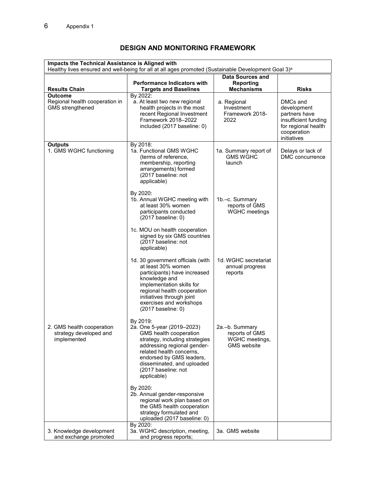## **DESIGN AND MONITORING FRAMEWORK**

| Impacts the Technical Assistance is Aligned with<br>Healthy lives ensured and well-being for all at all ages promoted (Sustainable Development Goal 3) <sup>a</sup> |                                                                                                                                                                                                                                                               |                                                                          |                                                                                                                       |  |
|---------------------------------------------------------------------------------------------------------------------------------------------------------------------|---------------------------------------------------------------------------------------------------------------------------------------------------------------------------------------------------------------------------------------------------------------|--------------------------------------------------------------------------|-----------------------------------------------------------------------------------------------------------------------|--|
| <b>Results Chain</b>                                                                                                                                                | <b>Performance Indicators with</b><br><b>Targets and Baselines</b>                                                                                                                                                                                            | <b>Data Sources and</b><br><b>Reporting</b><br><b>Mechanisms</b>         | <b>Risks</b>                                                                                                          |  |
| Outcome<br>Regional health cooperation in<br><b>GMS</b> strengthened                                                                                                | By 2022:<br>a. At least two new regional<br>health projects in the most<br>recent Regional Investment<br>Framework 2018-2022<br>included (2017 baseline: 0)                                                                                                   | a. Regional<br>Investment<br>Framework 2018-<br>2022                     | DMCs and<br>development<br>partners have<br>insufficient funding<br>for regional health<br>cooperation<br>initiatives |  |
| <b>Outputs</b><br>1. GMS WGHC functioning                                                                                                                           | By 2018:<br>1a. Functional GMS WGHC<br>(terms of reference,<br>membership, reporting<br>arrangements) formed<br>(2017 baseline: not<br>applicable)                                                                                                            | 1a. Summary report of<br><b>GMS WGHC</b><br>launch                       | Delays or lack of<br>DMC concurrence                                                                                  |  |
|                                                                                                                                                                     | By 2020:<br>1b. Annual WGHC meeting with<br>at least 30% women<br>participants conducted<br>$(2017)$ baseline: 0)                                                                                                                                             | 1b.-c. Summary<br>reports of GMS<br>WGHC meetings                        |                                                                                                                       |  |
|                                                                                                                                                                     | 1c. MOU on health cooperation<br>signed by six GMS countries<br>(2017 baseline: not<br>applicable)                                                                                                                                                            |                                                                          |                                                                                                                       |  |
|                                                                                                                                                                     | 1d. 30 government officials (with<br>at least 30% women<br>participants) have increased<br>knowledge and<br>implementation skills for<br>regional health cooperation<br>initiatives through joint<br>exercises and workshops<br>$(2017)$ baseline: 0)         | 1d. WGHC secretariat<br>annual progress<br>reports                       |                                                                                                                       |  |
| 2. GMS health cooperation<br>strategy developed and<br>implemented                                                                                                  | By 2019:<br>2a. One 5-year (2019-2023)<br>GMS health cooperation<br>strategy, including strategies<br>addressing regional gender-<br>related health concerns,<br>endorsed by GMS leaders,<br>disseminated, and uploaded<br>(2017 baseline: not<br>applicable) | 2a.–b. Summary<br>reports of GMS<br>WGHC meetings,<br><b>GMS</b> website |                                                                                                                       |  |
|                                                                                                                                                                     | By 2020:<br>2b. Annual gender-responsive<br>regional work plan based on<br>the GMS health cooperation<br>strategy formulated and<br>uploaded (2017 baseline: 0)                                                                                               |                                                                          |                                                                                                                       |  |
| 3. Knowledge development<br>and exchange promoted                                                                                                                   | By 2020:<br>3a. WGHC description, meeting,<br>and progress reports;                                                                                                                                                                                           | 3a. GMS website                                                          |                                                                                                                       |  |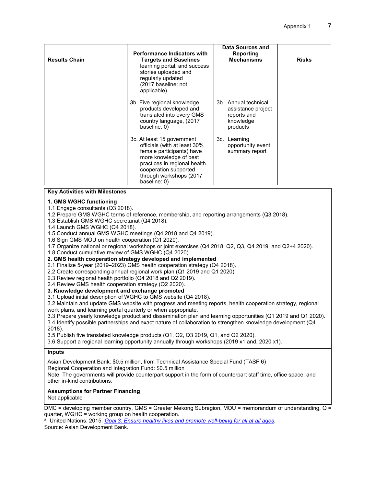| <b>Results Chain</b> | <b>Performance Indicators with</b>                                                                                                                                                                                    | Data Sources and<br>Reporting<br><b>Mechanisms</b>                                 |              |
|----------------------|-----------------------------------------------------------------------------------------------------------------------------------------------------------------------------------------------------------------------|------------------------------------------------------------------------------------|--------------|
|                      | <b>Targets and Baselines</b><br>learning portal; and success<br>stories uploaded and<br>regularly updated<br>(2017 baseline: not<br>applicable)                                                                       |                                                                                    | <b>Risks</b> |
|                      | 3b. Five regional knowledge<br>products developed and<br>translated into every GMS<br>country language, (2017)<br>baseline: 0)                                                                                        | 3b. Annual technical<br>assistance project<br>reports and<br>knowledge<br>products |              |
|                      | 3c. At least 15 government<br>officials (with at least 30%<br>female participants) have<br>more knowledge of best<br>practices in regional health<br>cooperation supported<br>through workshops (2017<br>baseline: 0) | 3c. Learning<br>opportunity event<br>summary report                                |              |

**Key Activities with Milestones** 

#### **1. GMS WGHC functioning**

1.1 Engage consultants (Q3 2018).

1.2 Prepare GMS WGHC terms of reference, membership, and reporting arrangements (Q3 2018).

1.3 Establish GMS WGHC secretariat (Q4 2018).

1.4 Launch GMS WGHC (Q4 2018).

1.5 Conduct annual GMS WGHC meetings (Q4 2018 and Q4 2019).

1.6 Sign GMS MOU on health cooperation (Q1 2020).

1.7 Organize national or regional workshops or joint exercises (Q4 2018, Q2, Q3, Q4 2019, and Q2+4 2020).

1.8 Conduct cumulative review of GMS WGHC (Q4 2020).

**2. GMS health cooperation strategy developed and implemented** 

2.1 Finalize 5-year (2019–2023) GMS health cooperation strategy (Q4 2018).

2.2 Create corresponding annual regional work plan (Q1 2019 and Q1 2020).

2.3 Review regional health portfolio (Q4 2018 and Q2 2019).

2.4 Review GMS health cooperation strategy (Q2 2020).

**3. Knowledge development and exchange promoted** 

3.1 Upload initial description of WGHC to GMS website (Q4 2018).

3.2 Maintain and update GMS website with progress and meeting reports, health cooperation strategy, regional work plans, and learning portal quarterly or when appropriate.

3.3 Prepare yearly knowledge product and dissemination plan and learning opportunities (Q1 2019 and Q1 2020). 3.4 Identify possible partnerships and exact nature of collaboration to strengthen knowledge development (Q4

2018).

3.5 Publish five translated knowledge products (Q1, Q2, Q3 2019, Q1, and Q2 2020).

3.6 Support a regional learning opportunity annually through workshops (2019 x1 and, 2020 x1).

#### **Inputs**

Asian Development Bank: \$0.5 million, from Technical Assistance Special Fund (TASF 6) Regional Cooperation and Integration Fund: \$0.5 million Note: The governments will provide counterpart support in the form of counterpart staff time, office space, and other in-kind contributions.

#### **Assumptions for Partner Financing**

Not applicable

DMC = developing member country, GMS = Greater Mekong Subregion, MOU = memorandum of understanding, Q = quarter, WGHC = working group on health cooperation.

a United Nations. 2015. *Goal 3: Ensure healthy lives and promote well-being for all at all ages*. Source: Asian Development Bank.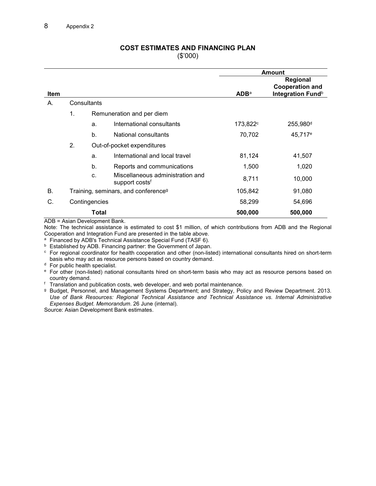#### **COST ESTIMATES AND FINANCING PLAN**  (\$'000)

|             |                                                 |              |                                                                |                         | <b>Amount</b>                                           |
|-------------|-------------------------------------------------|--------------|----------------------------------------------------------------|-------------------------|---------------------------------------------------------|
|             |                                                 |              |                                                                |                         | Regional                                                |
| <b>Item</b> |                                                 |              |                                                                | <b>ADB</b> <sup>a</sup> | <b>Cooperation and</b><br>Integration Fund <sup>b</sup> |
| А.          | Consultants                                     |              |                                                                |                         |                                                         |
|             | 1.                                              |              | Remuneration and per diem                                      |                         |                                                         |
|             |                                                 | a.           | International consultants                                      | 173,822 <sup>c</sup>    | 255,980 <sup>d</sup>                                    |
|             |                                                 | $h_{\cdot}$  | National consultants                                           | 70,702                  | 45,717 <sup>e</sup>                                     |
|             | 2.                                              |              | Out-of-pocket expenditures                                     |                         |                                                         |
|             |                                                 | a.           | International and local travel                                 | 81,124                  | 41,507                                                  |
|             |                                                 | b.           | Reports and communications                                     | 1,500                   | 1,020                                                   |
|             |                                                 | $\mathbf{C}$ | Miscellaneous administration and<br>support costs <sup>t</sup> | 8,711                   | 10,000                                                  |
| <b>B.</b>   | Training, seminars, and conference <sup>g</sup> |              | 105,842                                                        | 91,080                  |                                                         |
| C.          | Contingencies                                   |              |                                                                | 58,299                  | 54,696                                                  |
|             |                                                 | Total        |                                                                | 500,000                 | 500,000                                                 |

ADB = Asian Development Bank.

Note: The technical assistance is estimated to cost \$1 million, of which contributions from ADB and the Regional Cooperation and Integration Fund are presented in the table above.

<sup>a</sup> Financed by ADB's Technical Assistance Special Fund (TASF 6).

<sup>b</sup> Established by ADB. Financing partner: the Government of Japan.

c For regional coordinator for health cooperation and other (non-listed) international consultants hired on short-term basis who may act as resource persons based on country demand.

<sup>d</sup> For public health specialist.

e For other (non-listed) national consultants hired on short-term basis who may act as resource persons based on country demand.

f Translation and publication costs, web developer, and web portal maintenance.

g Budget, Personnel, and Management Systems Department; and Strategy, Policy and Review Department. 2013. *Use of Bank Resources: Regional Technical Assistance and Technical Assistance vs. Internal Administrative Expenses Budget. Memorandum*. 26 June (internal).

Source: Asian Development Bank estimates.